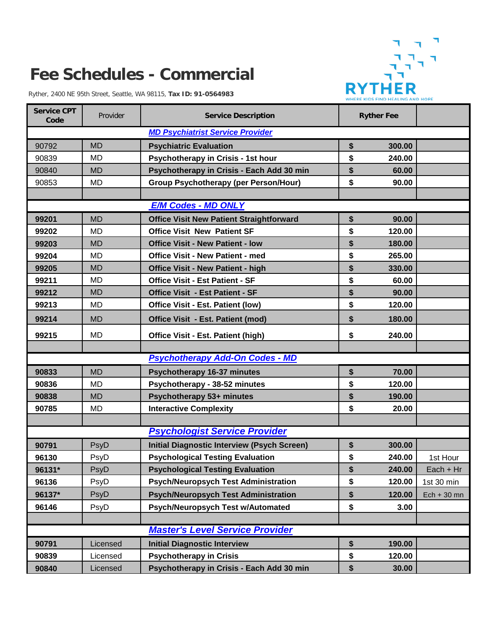## R R WHERE KIDS FIND HEALING AND HOPE

## **Fee Schedules - Commercial**

Ryther, 2400 NE 95th Street, Seattle, WA 98115, **Tax ID: 91-0564983**

| <b>Service CPT</b><br>Code              | Provider  | <b>Service Description</b>                         |    | <b>Ryther Fee</b> |               |  |  |  |  |
|-----------------------------------------|-----------|----------------------------------------------------|----|-------------------|---------------|--|--|--|--|
| <b>MD Psychiatrist Service Provider</b> |           |                                                    |    |                   |               |  |  |  |  |
| 90792                                   | <b>MD</b> | <b>Psychiatric Evaluation</b>                      | \$ | 300.00            |               |  |  |  |  |
| 90839                                   | <b>MD</b> | Psychotherapy in Crisis - 1st hour                 | \$ | 240.00            |               |  |  |  |  |
| 90840                                   | <b>MD</b> | Psychotherapy in Crisis - Each Add 30 min          | \$ | 60.00             |               |  |  |  |  |
| 90853                                   | <b>MD</b> | <b>Group Psychotherapy (per Person/Hour)</b>       | \$ | 90.00             |               |  |  |  |  |
|                                         |           |                                                    |    |                   |               |  |  |  |  |
| <b>E/M Codes - MD ONLY</b>              |           |                                                    |    |                   |               |  |  |  |  |
| 99201                                   | <b>MD</b> | <b>Office Visit New Patient Straightforward</b>    | \$ | 90.00             |               |  |  |  |  |
| 99202                                   | <b>MD</b> | <b>Office Visit New Patient SF</b>                 | \$ | 120.00            |               |  |  |  |  |
| 99203                                   | <b>MD</b> | <b>Office Visit - New Patient - low</b>            | \$ | 180.00            |               |  |  |  |  |
| 99204                                   | <b>MD</b> | <b>Office Visit - New Patient - med</b>            | \$ | 265.00            |               |  |  |  |  |
| 99205                                   | <b>MD</b> | <b>Office Visit - New Patient - high</b>           | \$ | 330.00            |               |  |  |  |  |
| 99211                                   | MD        | <b>Office Visit - Est Patient - SF</b>             | \$ | 60.00             |               |  |  |  |  |
| 99212                                   | <b>MD</b> | <b>Office Visit - Est Patient - SF</b>             | \$ | 90.00             |               |  |  |  |  |
| 99213                                   | MD        | Office Visit - Est. Patient (low)                  | \$ | 120.00            |               |  |  |  |  |
| 99214                                   | <b>MD</b> | Office Visit - Est. Patient (mod)                  | \$ | 180.00            |               |  |  |  |  |
| 99215                                   | <b>MD</b> | <b>Office Visit - Est. Patient (high)</b>          | \$ | 240.00            |               |  |  |  |  |
|                                         |           |                                                    |    |                   |               |  |  |  |  |
|                                         |           | <b>Psychotherapy Add-On Codes - MD</b>             |    |                   |               |  |  |  |  |
| 90833                                   | <b>MD</b> | <b>Psychotherapy 16-37 minutes</b>                 | \$ | 70.00             |               |  |  |  |  |
| 90836                                   | <b>MD</b> | Psychotherapy - 38-52 minutes                      | \$ | 120.00            |               |  |  |  |  |
| 90838                                   | <b>MD</b> | Psychotherapy 53+ minutes                          | \$ | 190.00            |               |  |  |  |  |
| 90785                                   | MD        | <b>Interactive Complexity</b>                      | \$ | 20.00             |               |  |  |  |  |
|                                         |           | <b>Psychologist Service Provider</b>               |    |                   |               |  |  |  |  |
|                                         |           |                                                    |    |                   |               |  |  |  |  |
| 90791                                   | PsyD      | <b>Initial Diagnostic Interview (Psych Screen)</b> | \$ | 300.00            |               |  |  |  |  |
| 96130                                   | PsyD      | <b>Psychological Testing Evaluation</b>            | \$ | 240.00            | 1st Hour      |  |  |  |  |
| 96131*                                  | PsyD      | <b>Psychological Testing Evaluation</b>            | \$ | 240.00            | $Each + Hr$   |  |  |  |  |
| 96136                                   | PsyD      | <b>Psych/Neuropsych Test Administration</b>        | \$ | 120.00            | 1st 30 min    |  |  |  |  |
| 96137*                                  | PsyD      | <b>Psych/Neuropsych Test Administration</b>        | \$ | 120.00            | $Ech + 30$ mn |  |  |  |  |
| 96146                                   | PsyD      | <b>Psych/Neuropsych Test w/Automated</b>           | \$ | 3.00              |               |  |  |  |  |
|                                         |           |                                                    |    |                   |               |  |  |  |  |
| <b>Master's Level Service Provider</b>  |           |                                                    |    |                   |               |  |  |  |  |
| 90791                                   | Licensed  | <b>Initial Diagnostic Interview</b>                | \$ | 190.00            |               |  |  |  |  |
| 90839                                   | Licensed  | <b>Psychotherapy in Crisis</b>                     | \$ | 120.00            |               |  |  |  |  |
| 90840                                   | Licensed  | Psychotherapy in Crisis - Each Add 30 min          | \$ | 30.00             |               |  |  |  |  |